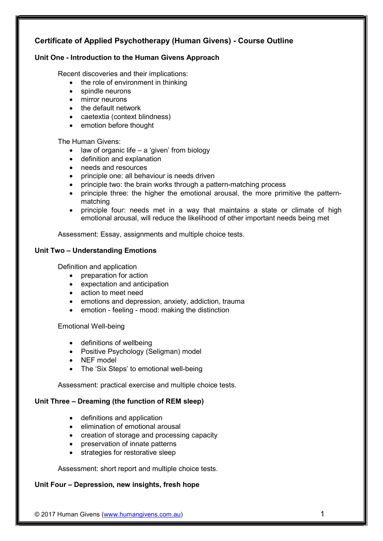# Certificate of Applied Psychotherapy (Human Givens) - Course Outline

## Unit One - Introduction to the Human Givens Approach

Recent discoveries and their implications:

- $\bullet$  the role of environment in thinking
- spindle neurons
- mirror neurons
- the default network
- caetextia (context blindness)
- emotion before thought

The Human Givens:

- $\bullet$  law of organic life a 'given' from biology
- definition and explanation
- needs and resources
- 
- principle one: all behaviour is needs driven<br>• principle two: the brain works through a pat principle two: the brain works through a pattern-matching process
- principle three: the higher the emotional arousal, the more primitive the patternmatching
- principle four: needs met in a way that maintains a state or climate of high emotional arousal, will reduce the likelihood of other important needs being met

Assessment: Essay, assignments and multiple choice tests.

## Unit Two – Understanding Emotions

Definition and application

- preparation for action
- expectation and anticipation
- action to meet need
- emotions and depression, anxiety, addiction, trauma
- emotion feeling mood: making the distinction

Emotional Well-being

- definitions of wellbeing
- Positive Psychology (Seligman) model
- NEF model
- The 'Six Steps' to emotional well-being

Assessment: practical exercise and multiple choice tests.

## Unit Three – Dreaming (the function of REM sleep)

- definitions and application
- elimination of emotional arousal
- creation of storage and processing capacity
- preservation of innate patterns
- strategies for restorative sleep

Assessment: short report and multiple choice tests.

## Unit Four – Depression, new insights, fresh hope

© 2017 Human Givens (www.humangivens.com.au) 1